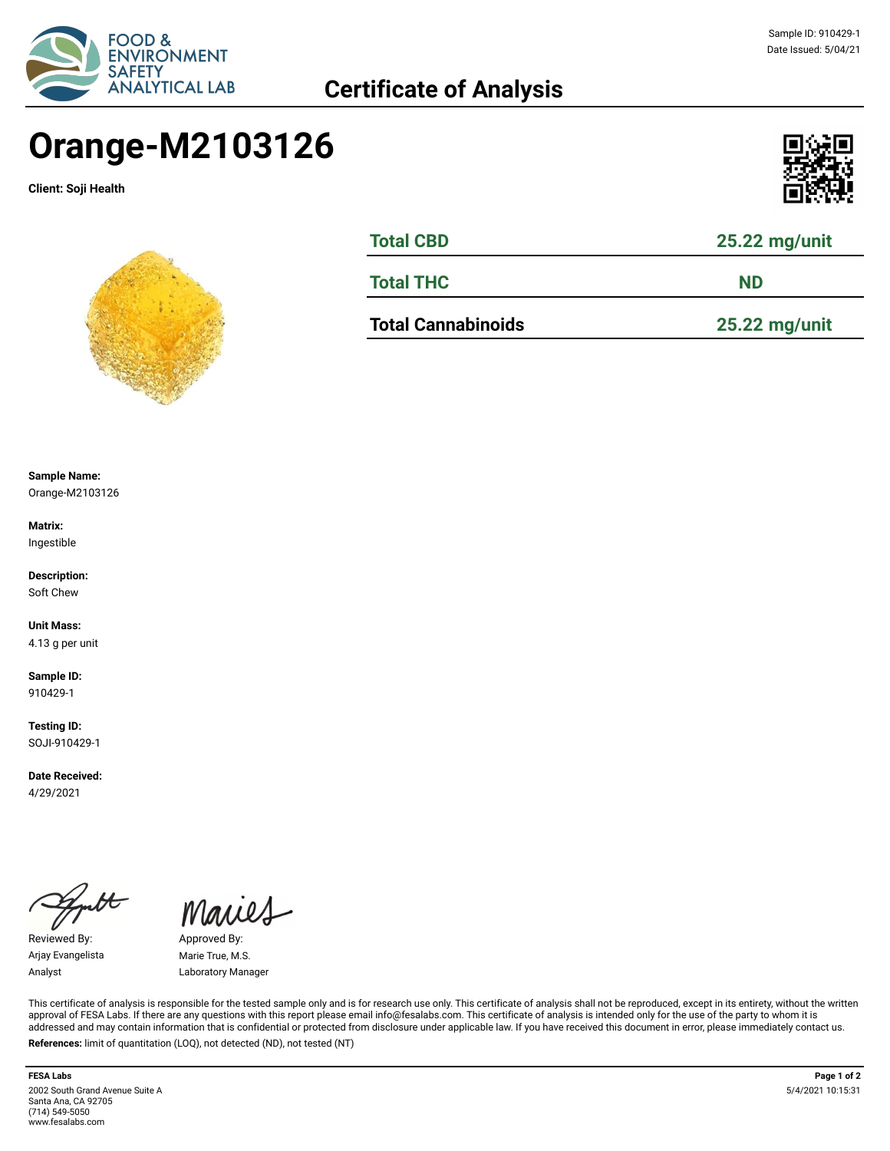

# **Certificate of Analysis**

# Sample ID: 910429-1 Date Issued: 5/04/21

# **Orange-M2103126**

**Client: Soji Health**





| <b>Total CBD</b>          | 25.22 mg/unit<br><b>ND</b> |  |  |  |
|---------------------------|----------------------------|--|--|--|
| <b>Total THC</b>          |                            |  |  |  |
| <b>Total Cannabinoids</b> | $25.22$ mg/unit            |  |  |  |

**Sample Name:** 

Orange-M2103126

**Matrix:** Ingestible

**Description:** Soft Chew

**Unit Mass:**  4.13 g per unit

**Sample ID:**  910429-1

**Testing ID:**  SOJI-910429-1

**Date Received:**  4/29/2021

Reviewed By: Approved By: Arjay Evangelista Marie True, M.S.

Maries

Analyst Laboratory Manager

This certificate of analysis is responsible for the tested sample only and is for research use only. This certificate of analysis shall not be reproduced, except in its entirety, without the written approval of FESA Labs. If there are any questions with this report please email info@fesalabs.com. This certificate of analysis is intended only for the use of the party to whom it is addressed and may contain information that is confidential or protected from disclosure under applicable law. If you have received this document in error, please immediately contact us. **References:** limit of quantitation (LOQ), not detected (ND), not tested (NT)

2002 South Grand Avenue Suite A Santa Ana, CA 92705 (714) 549-5050 www.fesalabs.com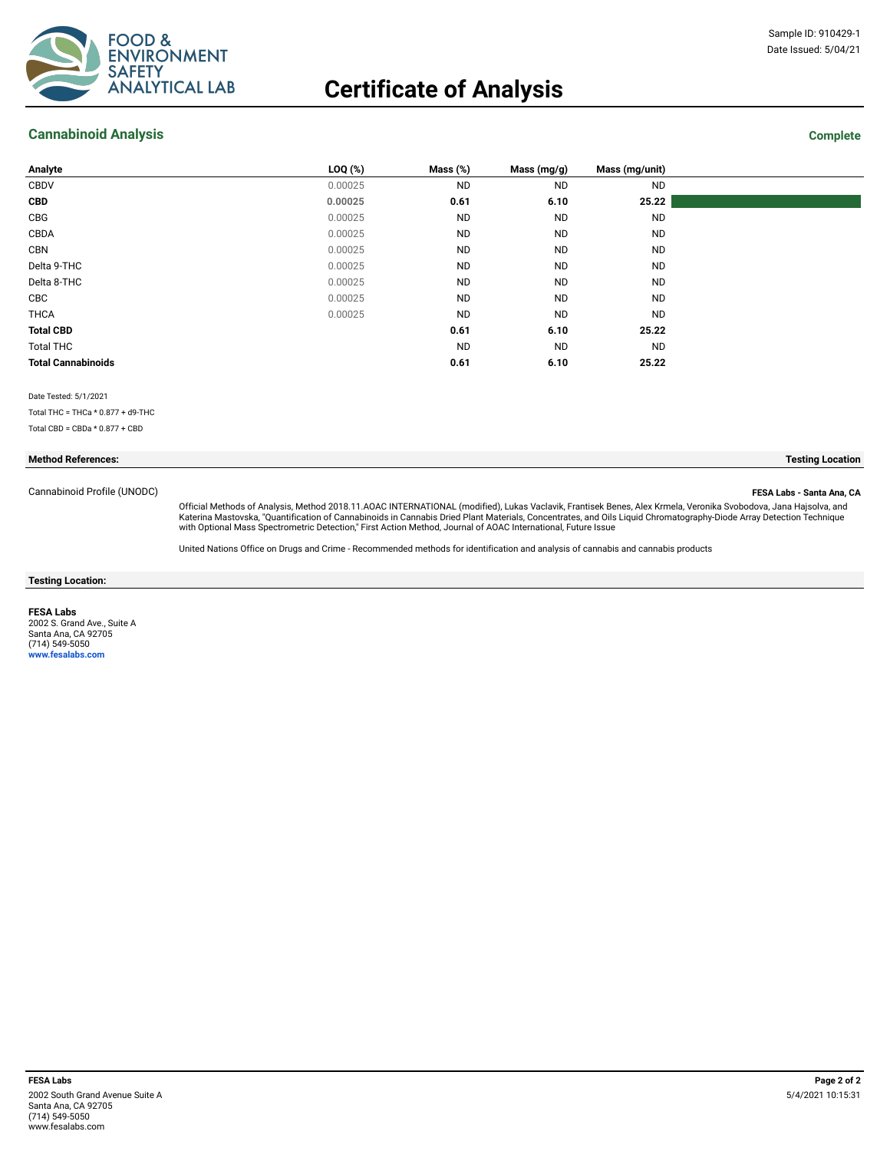

# **Certificate of Analysis**

## **Cannabinoid Analysis Complete**

| Analyte                   | $LOQ$ $(*)$ | Mass (%)  | Mass (mg/g) | Mass (mg/unit) |
|---------------------------|-------------|-----------|-------------|----------------|
| CBDV                      | 0.00025     | <b>ND</b> | <b>ND</b>   | <b>ND</b>      |
| <b>CBD</b>                | 0.00025     | 0.61      | 6.10        | 25.22          |
| CBG                       | 0.00025     | <b>ND</b> | <b>ND</b>   | <b>ND</b>      |
| CBDA                      | 0.00025     | <b>ND</b> | <b>ND</b>   | <b>ND</b>      |
| CBN                       | 0.00025     | <b>ND</b> | <b>ND</b>   | <b>ND</b>      |
| Delta 9-THC               | 0.00025     | <b>ND</b> | <b>ND</b>   | <b>ND</b>      |
| Delta 8-THC               | 0.00025     | <b>ND</b> | <b>ND</b>   | <b>ND</b>      |
| CBC                       | 0.00025     | <b>ND</b> | <b>ND</b>   | <b>ND</b>      |
| <b>THCA</b>               | 0.00025     | <b>ND</b> | <b>ND</b>   | <b>ND</b>      |
| <b>Total CBD</b>          |             | 0.61      | 6.10        | 25.22          |
| <b>Total THC</b>          |             | <b>ND</b> | <b>ND</b>   | <b>ND</b>      |
| <b>Total Cannabinoids</b> |             | 0.61      | 6.10        | 25.22          |
|                           |             |           |             |                |

Date Tested: 5/1/2021

Total THC = THCa \* 0.877 + d9-THC

Total CBD = CBDa \* 0.877 + CBD

#### **Method References: Testing Location**

Cannabinoid Profile (UNODC) **FESA Labs - Santa Ana, CA**

Official Methods of Analysis, Method 2018.11.AOAC INTERNATIONAL (modified), Lukas Vaclavik, Frantisek Benes, Alex Krmela, Veronika Svobodova, Jana Hajsolva, and Katerina Mastovska, "Quantification of Cannabinoids in Cannabis Dried Plant Materials, Concentrates, and Oils Liquid Chromatography-Diode Array Detection Technique<br>with Optional Mass Spectrometric Detection," First Action

United Nations Office on Drugs and Crime - Recommended methods for identification and analysis of cannabis and cannabis products

**Testing Location:**

**FESA Labs** 2002 S. Grand Ave., Suite A Santa Ana, CA 92705 (714) 549-5050 **www.fesalabs.com**